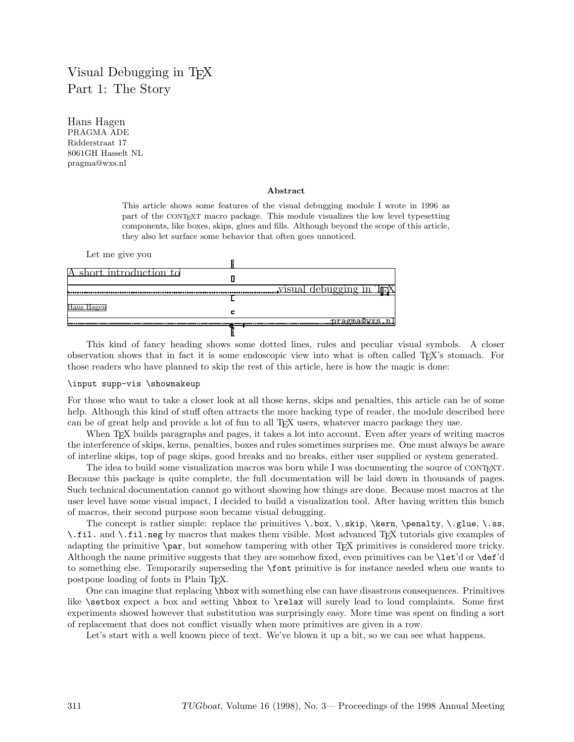# Visual Debugging in T<sub>F</sub>X Part 1: The Story

Hans Hagen PRAGMA ADE Ridderstraat 17 8061GH Hasselt NL pragma@wxs.nl

#### **Abstract**

This article shows some features of the visual debugging module I wrote in 1996 as part of the CONTEXT macro package. This module visualizes the low level typesetting components, like boxes, skips, glues and fills. Although beyond the scope of this article, they also let surface some behavior that often goes unnoticed.



This kind of fancy heading shows some dotted lines, rules and peculiar visual symbols. A closer observation shows that in fact it is some endoscopic view into what is often called TEX's stomach. For those readers who have planned to skip the rest of this article, here is how the magic is done:

#### \input supp-vis \showmakeup

For those who want to take a closer look at all those kerns, skips and penalties, this article can be of some help. Although this kind of stuff often attracts the more hacking type of reader, the module described here can be of great help and provide a lot of fun to all TEX users, whatever macro package they use.

When T<sub>EX</sub> builds paragraphs and pages, it takes a lot into account. Even after years of writing macros the interference of skips, kerns, penalties, boxes and rules sometimes surprises me. One must always be aware of interline skips, top of page skips, good breaks and no breaks, either user supplied or system generated.

The idea to build some visualization macros was born while I was documenting the source of CONTEXT. Because this package is quite complete, the full documentation will be laid down in thousands of pages. Such technical documentation cannot go without showing how things are done. Because most macros at the user level have some visual impact, I decided to build a visualization tool. After having written this bunch of macros, their second purpose soon became visual debugging.

The concept is rather simple: replace the primitives \.box, \.skip, \kern, \penalty, \.glue, \.ss, \.fil. and \.fil.neg by macros that makes them visible. Most advanced TEX tutorials give examples of adapting the primitive  $\parbox{1.5pt}{\text{par}}$ , but somehow tampering with other T<sub>EX</sub> primitives is considered more tricky. Although the name primitive suggests that they are somehow fixed, even primitives can be \let'd or \def'd to something else. Temporarily superseding the \font primitive is for instance needed when one wants to postpone loading of fonts in Plain TEX.

One can imagine that replacing \hbox with something else can have disastrous consequences. Primitives like \setbox expect a box and setting \hbox to \relax will surely lead to loud complaints. Some first experiments showed however that substitution was surprisingly easy. More time was spent on finding a sort of replacement that does not conflict visually when more primitives are given in a row.

Let's start with a well known piece of text. We've blown it up a bit, so we can see what happens.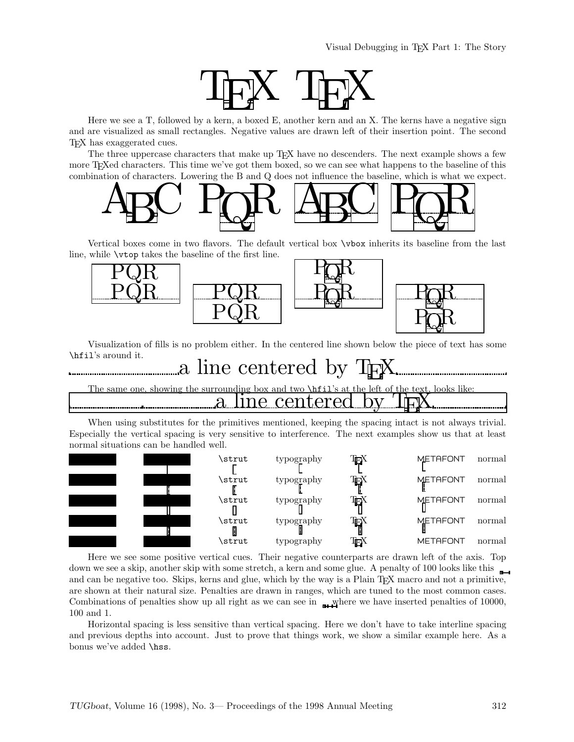

Here we see a T, followed by a kern, a boxed E, another kern and an X. The kerns have a negative sign and are visualized as small rectangles. Negative values are drawn left of their insertion point. The second TEX has exaggerated cues.

The three uppercase characters that make up T<sub>E</sub>X have no descenders. The next example shows a few more T<sub>E</sub>Xed characters. This time we've got them boxed, so we can see what happens to the baseline of this combination of characters. Lowering the B and Q does not influence the baseline, which is what we expect.



Vertical boxes come in two flavors. The default vertical box \vbox inherits its baseline from the last line, while \vtop takes the baseline of the first line.



Visualization of fills is no problem either. In the centered line shown below the piece of text has some \hfil's around it.



## showing the surrounding box and two  $\hbar$ il's at the left of the text, looks like: a line centered

When using substitutes for the primitives mentioned, keeping the spacing intact is not always trivial. Especially the vertical spacing is very sensitive to interference. The next examples show us that at least normal situations can be handled well.



Here we see some positive vertical cues. Their negative counterparts are drawn left of the axis. Top down we see a skip, another skip with some stretch, a kern and some glue. A penalty of 100 looks like this  $\Box$ and can be negative too. Skips, kerns and glue, which by the way is a Plain T<sub>E</sub>X macro and not a primitive, are shown at their natural size. Penalties are drawn in ranges, which are tuned to the most common cases. Combinations of penalties show up all right as we can see in  $\mu$  where we have inserted penalties of 10000, 100 and 1.

Horizontal spacing is less sensitive than vertical spacing. Here we don't have to take interline spacing and previous depths into account. Just to prove that things work, we show a similar example here. As a bonus we've added \hss.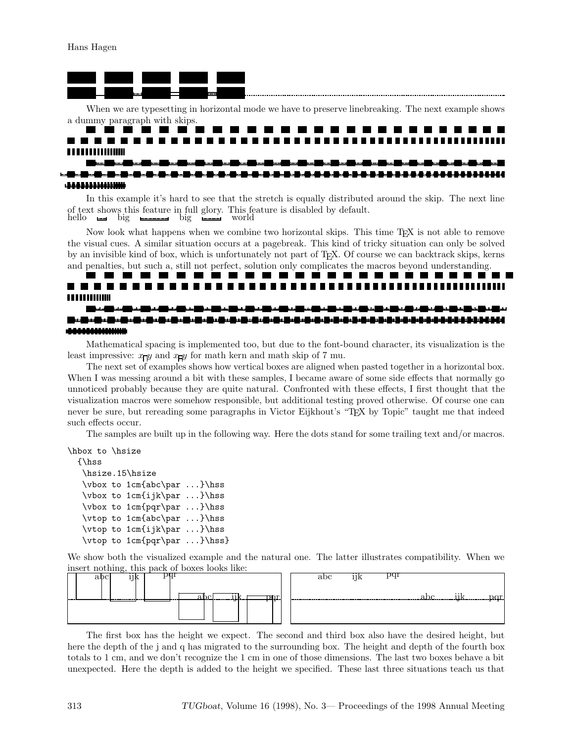Hans Hagen



When we are typesetting in horizontal mode we have to preserve linebreaking. The next example shows a dummy paragraph with skips.

#### ---------a sa bara **STATE** and the contract **. . . . . . . . . . . . . . . . .**

In this example it's hard to see that the stretch is equally distributed around the skip. The next line of text shows this feature in full glory. This feature is disabled by default.<br>hello  $\Box$  big  $\Box$  big world hello big hellow big big world

Now look what happens when we combine two horizontal skips. This time TEX is not able to remove the visual cues. A similar situation occurs at a pagebreak. This kind of tricky situation can only be solved by an invisible kind of box, which is unfortunately not part of TEX. Of course we can backtrack skips, kerns and penalties, but such a, still not perfect, solution only complicates the macros beyond understanding.

# **TITULIUM**

. . . .

#### . 20. . 20. . 20. . 20. . 20. . 20. . 20. . 20. . 20. . 20. . 20. . 20. . 20. . 20. . 20. . 20. . 20. . 20. .

Mathematical spacing is implemented too, but due to the font-bound character, its visualization is the least impressive:  $x_{\Box}y$  and  $x_{\Box}y$  for math kern and math skip of 7 mu.

The next set of examples shows how vertical boxes are aligned when pasted together in a horizontal box. When I was messing around a bit with these samples, I became aware of some side effects that normally go unnoticed probably because they are quite natural. Confronted with these effects, I first thought that the visualization macros were somehow responsible, but additional testing proved otherwise. Of course one can never be sure, but rereading some paragraphs in Victor Eijkhout's "TEX by Topic" taught me that indeed such effects occur.

The samples are built up in the following way. Here the dots stand for some trailing text and/or macros.

```
\hbox to \hsize
```

```
{\hss
 \hsize.15\hsize
 \vbox to 1cm{abc\par ...}\hss
\vbox to 1cm{ijk\par ...}\hss
\vbox to 1cm{pqr\par ...}\hss
 \vtop to 1cm{abc\par ...}\hss
 \vtop to 1cm{ijk\par ...}\hss
 \vtop to 1cm{pqr\par ...}\hss}
```
We show both the visualized example and the natural one. The latter illustrates compatibility. When we



The first box has the height we expect. The second and third box also have the desired height, but here the depth of the j and q has migrated to the surrounding box. The height and depth of the fourth box totals to 1 cm, and we don't recognize the 1 cm in one of those dimensions. The last two boxes behave a bit unexpected. Here the depth is added to the height we specified. These last three situations teach us that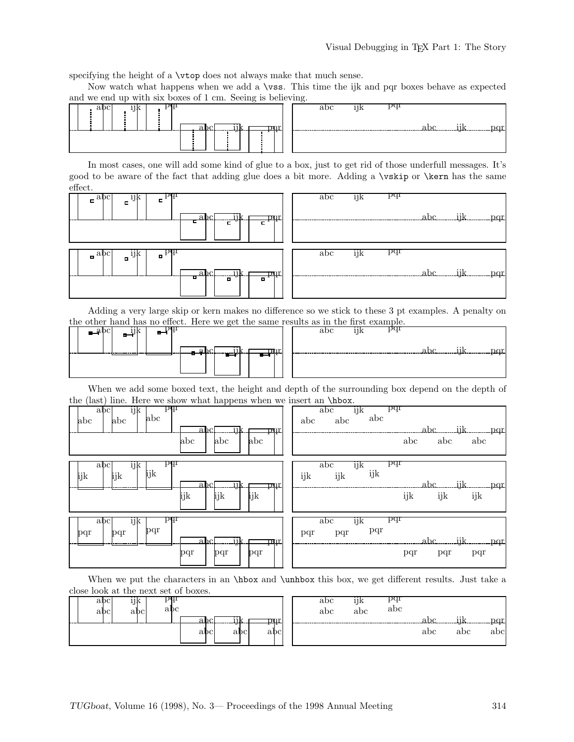specifying the height of a \vtop does not always make that much sense.

Now watch what happens when we add a \vss. This time the ijk and pqr boxes behave as expected



In most cases, one will add some kind of glue to a box, just to get rid of those underfull messages. It's good to be aware of the fact that adding glue does a bit more. Adding a \vskip or \kern has the same effect.



Adding a very large skip or kern makes no difference so we stick to these 3 pt examples. A penalty on the other hand has no effect. Here we get the same results as in the first example.<br>
abc ijk pqr

| الاستعداد<br>--<br>-- | اهد | --<br>-- |  |
|-----------------------|-----|----------|--|
|                       |     |          |  |
|                       |     |          |  |

|     |  |     | не техниз аз нг ине нгэг елангрие. |      |     |
|-----|--|-----|------------------------------------|------|-----|
|     |  | abc |                                    |      |     |
|     |  |     |                                    |      |     |
|     |  |     |                                    |      |     |
| mr. |  |     |                                    | abc. | pqr |
|     |  |     |                                    |      |     |
|     |  |     |                                    |      |     |
|     |  |     |                                    |      |     |

When we add some boxed text, the height and depth of the surrounding box depend on the depth of

| the (last) line. Here we show what happens when we insert an \hbox.               |                                                                                |
|-----------------------------------------------------------------------------------|--------------------------------------------------------------------------------|
| bdı<br>ijk<br>abc<br>abc<br>abc<br>abc<br>iik<br>abc.<br>pqr<br>abc<br>abc<br>abc | pqr<br>abc<br>ijk<br>abc<br>abc<br>abc<br>$abc$ ijk $pqr$<br>abc<br>abc<br>abc |
| bdı.<br>abc<br>1]k<br>ijk<br>ijk<br>ijk<br>abc.<br>pqr.<br>ijk<br>ijk<br>ijk      | pqr<br>abc<br>ηk<br>ijk<br>ijk<br>ijk<br>ijk pqr<br>.abc<br>ijk<br>ijk<br>ijk  |
| bdı<br>abc<br>ηk<br>pqr<br>pqr<br>pqr<br>a.bc<br>ijI<br>pqr<br>pqr<br>pqr<br>pqr  | bdı<br>abc<br>ijk<br>pqr<br>pqr<br>pqr<br>pqr<br>pqr<br>pqr                    |

When we put the characters in an **\hbox** and **\unhbox** this box, we get different results. Just take a close look at the next set of boxes.

|     | abc | $\cdot$ .<br>īЪ | эqг  |     |     |            |               | abc | $\cdots$<br>11k | pqr<br>abc |     |          |                   |
|-----|-----|-----------------|------|-----|-----|------------|---------------|-----|-----------------|------------|-----|----------|-------------------|
|     | abc | abc             | abc  |     |     |            |               | abc | abc             |            |     |          |                   |
| --- |     |                 | ---- |     |     | m<br>.     | ------------- |     |                 |            | one | $\cdots$ | $n_{\alpha}$<br>. |
|     |     |                 |      | abc | abc | . .<br>abc |               |     |                 |            | abc | abc      | abc               |
|     |     |                 |      |     |     |            |               |     |                 |            |     |          |                   |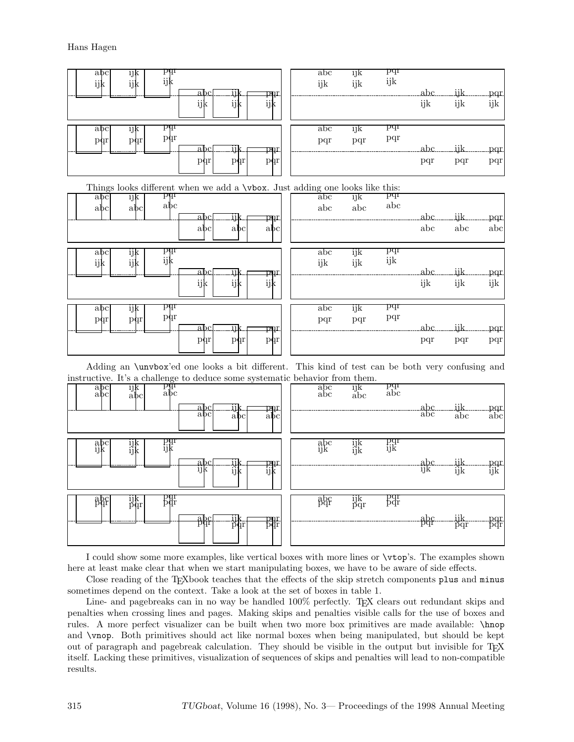

I could show some more examples, like vertical boxes with more lines or \vtop's. The examples shown here at least make clear that when we start manipulating boxes, we have to be aware of side effects.

Close reading of the T<sub>E</sub>Xbook teaches that the effects of the skip stretch components plus and minus sometimes depend on the context. Take a look at the set of boxes in table 1.

Line- and pagebreaks can in no way be handled  $100\%$  perfectly. T<sub>EX</sub> clears out redundant skips and penalties when crossing lines and pages. Making skips and penalties visible calls for the use of boxes and rules. A more perfect visualizer can be built when two more box primitives are made available: \hnop and \vnop. Both primitives should act like normal boxes when being manipulated, but should be kept out of paragraph and pagebreak calculation. They should be visible in the output but invisible for T<sub>E</sub>X itself. Lacking these primitives, visualization of sequences of skips and penalties will lead to non-compatible results.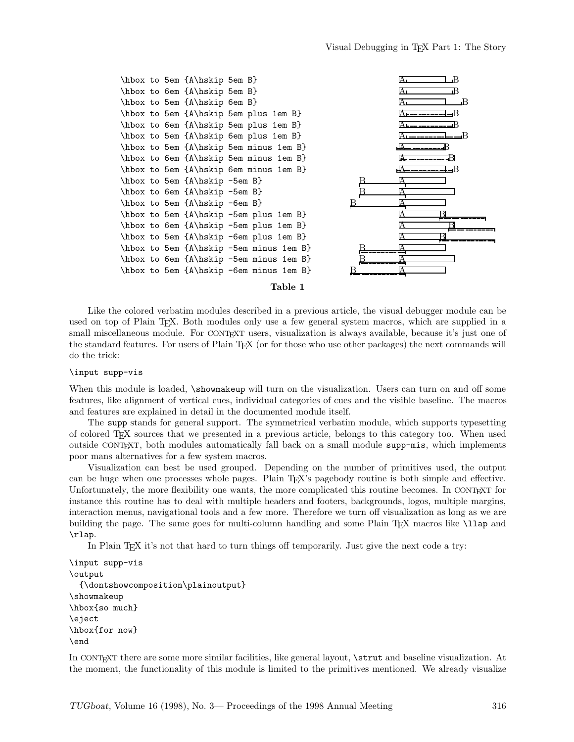

### Like the colored verbatim modules described in a previous article, the visual debugger module can be used on top of Plain TEX. Both modules only use a few general system macros, which are supplied in a small miscellaneous module. For CONTEXT users, visualization is always available, because it's just one of the standard features. For users of Plain TEX (or for those who use other packages) the next commands will do the trick:

#### \input supp-vis

When this module is loaded,  $\lambda$ showmakeup will turn on the visualization. Users can turn on and off some features, like alignment of vertical cues, individual categories of cues and the visible baseline. The macros and features are explained in detail in the documented module itself.

The supp stands for general support. The symmetrical verbatim module, which supports typesetting of colored TEX sources that we presented in a previous article, belongs to this category too. When used outside CONTEXT, both modules automatically fall back on a small module supp-mis, which implements poor mans alternatives for a few system macros.

Visualization can best be used grouped. Depending on the number of primitives used, the output can be huge when one processes whole pages. Plain T<sub>E</sub>X's pagebody routine is both simple and effective. Unfortunately, the more flexibility one wants, the more complicated this routine becomes. In CONTEXT for instance this routine has to deal with multiple headers and footers, backgrounds, logos, multiple margins, interaction menus, navigational tools and a few more. Therefore we turn off visualization as long as we are building the page. The same goes for multi-column handling and some Plain T<sub>EX</sub> macros like \lap and \rlap.

In Plain T<sub>E</sub>X it's not that hard to turn things off temporarily. Just give the next code a try:

```
\input supp-vis
\output
 {\dontshowcomposition\plainoutput}
\showmakeup
\hbox{so much}
\eject
\hbox{for now}
\end
```
In CONTEXT there are some more similar facilities, like general layout, \strut and baseline visualization. At the moment, the functionality of this module is limited to the primitives mentioned. We already visualize